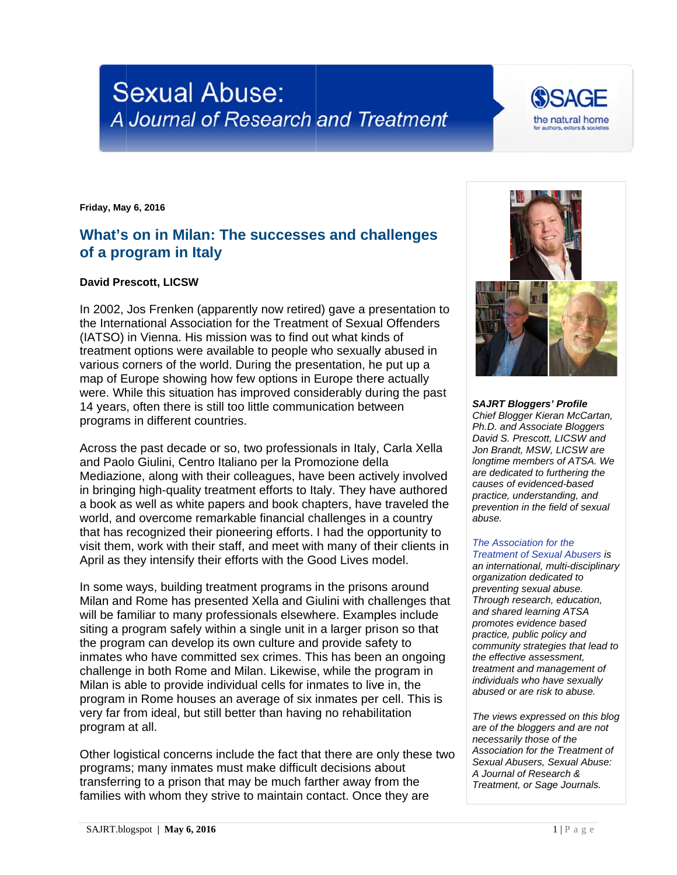# **Sexual Abuse:** A Journal of Research and Treatment

**Friday, May y 6, 2016** 

# What's on in Milan: The successes and challenges **of a pro ogram in Italy**

## **David Prescott, LICSW**

In 2002, Jos Frenken (apparently now retired) gave a presentation to the International Association for the Treatment of Sexual Offenders (IATSO) in Vienna. His mission was to find out what kinds of treatment options were available to people who sexually abused in various corners of the world. During the presentation, he put up a map of Europe showing how few options in Europe there actually were. While this situation has improved considerably during the past 14 years, often there is still too little communication between programs in different countries.

Across the past decade or so, two professionals in Italy, Carla Xella and Paolo Giulini, Centro Italiano per la Promozione della Mediazione, along with their colleagues, have been actively involved in bringing high-quality treatment efforts to Italy. They have authored Mediazione, along with their colleagues, have been actively involved<br>in bringing high-quality treatment efforts to Italy. They have authored<br>a book as well as white papers and book chapters, have traveled the world, and overcome remarkable financial challenges in a country that has recognized their pioneering efforts. I had the opportunity to visit them, work with their staff, and meet with many of their clients in April as they intensify their efforts with the Good Lives model.

In some ways, building treatment programs in the prisons around Milan and Rome has presented Xella and Giulini with challenges that will be familiar to many professionals elsewhere. Examples include siting a program safely within a single unit in a larger prison so that the program can develop its own culture and provide safety to inmates who have committed sex crimes. This has been an ongoing challenge in both Rome and Milan. Likewise, while the program in Milan is able to provide individual cells for inmates to live in, the program in Rome houses an average of six inmates per cell. This is very far from ideal, but still better than having no rehabilitation program at all.

Other logistical concerns include the fact that there are only these two programs s; many inm ates must m make difficult t decisions a about transferring to a prison that may be much farther away from the families with whom they strive to maintain contact. Once they are



### SAJRT **Bloggers' Profile** *Chief Bl logger Kieran M McCartan, Ph.D. a nd Associate B Bloggers David S S. Prescott, LIC CSW and Jon Brandt, MSW, LICSW are longtime members of ATSA. We* are dedicated to furthering the *causes of evidenced-b based practice, understanding, and prevent tion in the field of sexual abuse.*

### *The Association for the Treatment of Sexual Abusers is*

*an inter rnational, multi--disciplinary dedicated to preventing sexual abuse. Through research, education, and sha ared learning A ATSA promote es evidence ba ased practice e, public policy and*   $community$  strategies that lead to *the effective assessment, treatment and management of individuals who have sexually abused or are risk to a abuse.* 

*The vie ws expressed on this blog*  are of the bloggers and are not *necessarily those of the* Association for the Treatment of Sexual Abusers, Sexual Abuse: *A Journ nal of Research h &*  **Treatment, or Sage Journals.**